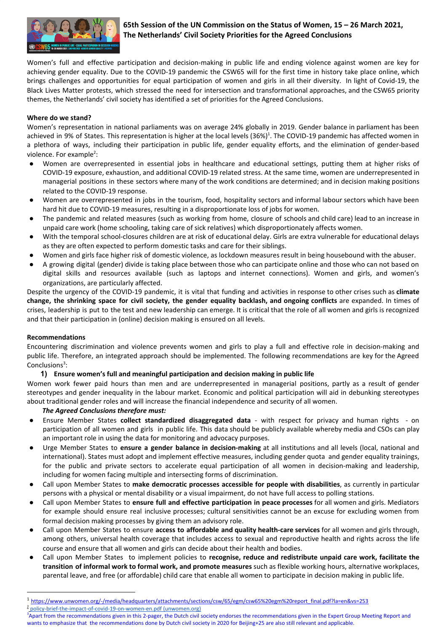

# **65th Session of the UN Commission on the Status of Women, 15 – 26 March 2021, The Netherlands' Civil Society Priorities for the Agreed Conclusions**

Women's full and effective participation and decision-making in public life and ending violence against women are key for achieving gender equality. Due to the COVID-19 pandemic the CSW65 will for the first time in history take place online, which brings challenges and opportunities for equal participation of women and girls in all their diversity. In light of Covid-19, the Black Lives Matter protests, which stressed the need for intersection and transformational approaches, and the CSW65 priority themes, the Netherlands' civil society has identified a set of priorities for the Agreed Conclusions.

### **Where do we stand?**

Women's representation in national parliaments was on average 24% globally in 2019. Gender balance in parliament has been achieved in 9% of States. This representation is higher at the local levels (36%)<sup>1</sup>. The COVID-19 pandemic has affected women in a plethora of ways, including their participation in public life, gender equality efforts, and the elimination of gender-based violence. For example<sup>2</sup>:

- Women are overrepresented in essential jobs in healthcare and educational settings, putting them at higher risks of COVID-19 exposure, exhaustion, and additional COVID-19 related stress. At the same time, women are underrepresented in managerial positions in these sectors where many of the work conditions are determined; and in decision making positions related to the COVID-19 response.
- Women are overrepresented in jobs in the tourism, food, hospitality sectors and informal labour sectors which have been hard hit due to COVID-19 measures, resulting in a disproportionate loss of jobs for women.
- The pandemic and related measures (such as working from home, closure of schools and child care) lead to an increase in unpaid care work (home schooling, taking care of sick relatives) which disproportionately affects women.
- With the temporal school-closures children are at risk of educational delay. Girls are extra vulnerable for educational delays as they are often expected to perform domestic tasks and care for their siblings.
- Women and girls face higher risk of domestic violence, as lockdown measures result in being housebound with the abuser.
- A growing digital (gender) divide is taking place between those who can participate online and those who can not based on digital skills and resources available (such as laptops and internet connections). Women and girls, and women's organizations, are particularly affected.

Despite the urgency of the COVID-19 pandemic, it is vital that funding and activities in response to other crises such as **climate change, the shrinking space for civil society, the gender equality backlash, and ongoing conflicts** are expanded. In times of crises, leadership is put to the test and new leadership can emerge. It is critical that the role of all women and girls is recognized and that their participation in (online) decision making is ensured on all levels.

## **Recommendations**

Encountering discrimination and violence prevents women and girls to play a full and effective role in decision-making and public life. Therefore, an integrated approach should be implemented. The following recommendations are key for the Agreed Conclusions<sup>3</sup>:

## **1) Ensure women's full and meaningful participation and decision making in public life**

Women work fewer paid hours than men and are underrepresented in managerial positions, partly as a result of gender stereotypes and gender inequality in the labour market. Economic and political participation will aid in debunking stereotypes about traditional gender roles and will increase the financial independence and security of all women.

## *The Agreed Conclusions therefore must:*

- Ensure Member States **collect standardized disaggregated data** with respect for privacy and human rights on participation of all women and girls in public life. This data should be publicly available whereby media and CSOs can play an important role in using the data for monitoring and advocacy purposes.
- Urge Member States to **ensure a gender balance in decision-making** at all institutions and all levels (local, national and international). States must adopt and implement effective measures, including gender quota and gender equality trainings, for the public and private sectors to accelerate equal participation of all women in decision-making and leadership, including for women facing multiple and intersecting forms of discrimination.
- Call upon Member States to **make democratic processes accessible for people with disabilities**, as currently in particular persons with a physical or mental disability or a visual impairment, do not have full access to polling stations.
- Call upon Member States to **ensure full and effective participation in peace processes** for all women and girls. Mediators for example should ensure real inclusive processes; cultural sensitivities cannot be an excuse for excluding women from formal decision making processes by giving them an advisory role.
- Call upon Member States to ensure **access to affordable and quality health-care services** for all women and girls through, among others, universal health coverage that includes access to sexual and reproductive health and rights across the life course and ensure that all women and girls can decide about their health and bodies.
- Call upon Member States to implement policies to **recognise, reduce and redistribute unpaid care work, facilitate the transition of informal work to formal work, and promote measures** such as flexible working hours, alternative workplaces, parental leave, and free (or affordable) child care that enable all women to participate in decision making in public life.

<sup>1</sup> [https://www.unwomen.org/-/media/headquarters/attachments/sections/csw/65/egm/csw65%20egm%20report\\_final.pdf?la=en&vs=253](https://www.unwomen.org/-/media/headquarters/attachments/sections/csw/65/egm/csw65%20egm%20report_final.pdf?la=en&vs=253)

<sup>&</sup>lt;sup>2</sup> [policy-brief-the-impact-of-covid-19-on-women-en.pdf](https://www.unwomen.org/-/media/headquarters/attachments/sections/library/publications/2020/policy-brief-the-impact-of-covid-19-on-women-en.pdf?la=en&vs=1406) (unwomen.org)

<sup>&</sup>lt;sup>3</sup>Apart from the recommendations given in this 2-pager, the Dutch civil society endorses the recommendations given in the Expert Group Meeting Report and wants to emphasize that the recommendations done by Dutch civil society in 2020 for Beijing+25 are also still relevant and applicable.